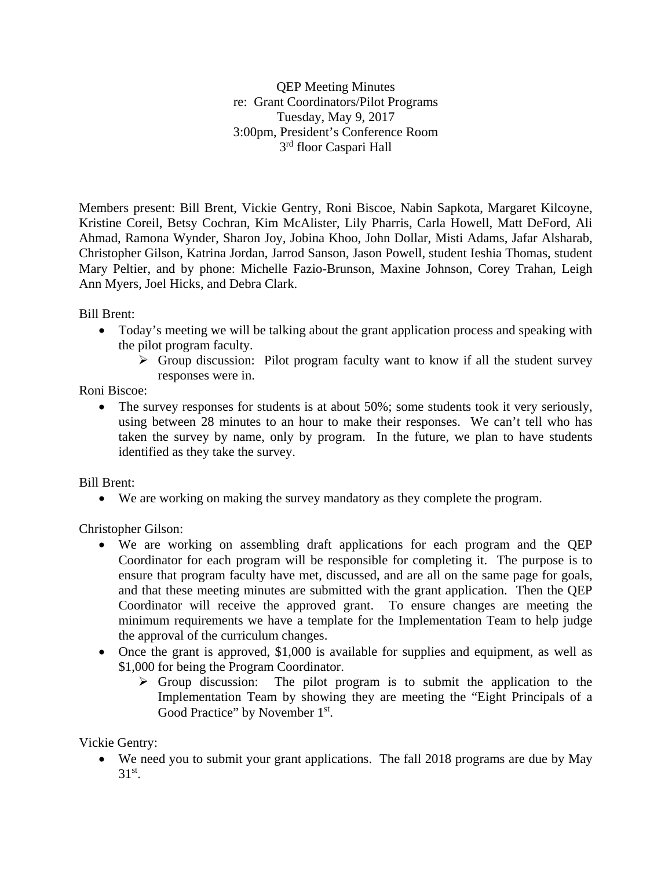QEP Meeting Minutes re: Grant Coordinators/Pilot Programs Tuesday, May 9, 2017 3:00pm, President's Conference Room 3rd floor Caspari Hall

Members present: Bill Brent, Vickie Gentry, Roni Biscoe, Nabin Sapkota, Margaret Kilcoyne, Kristine Coreil, Betsy Cochran, Kim McAlister, Lily Pharris, Carla Howell, Matt DeFord, Ali Ahmad, Ramona Wynder, Sharon Joy, Jobina Khoo, John Dollar, Misti Adams, Jafar Alsharab, Christopher Gilson, Katrina Jordan, Jarrod Sanson, Jason Powell, student Ieshia Thomas, student Mary Peltier, and by phone: Michelle Fazio-Brunson, Maxine Johnson, Corey Trahan, Leigh Ann Myers, Joel Hicks, and Debra Clark.

Bill Brent:

- Today's meeting we will be talking about the grant application process and speaking with the pilot program faculty.
	- $\triangleright$  Group discussion: Pilot program faculty want to know if all the student survey responses were in.

Roni Biscoe:

• The survey responses for students is at about 50%; some students took it very seriously, using between 28 minutes to an hour to make their responses. We can't tell who has taken the survey by name, only by program. In the future, we plan to have students identified as they take the survey.

Bill Brent:

• We are working on making the survey mandatory as they complete the program.

Christopher Gilson:

- We are working on assembling draft applications for each program and the QEP Coordinator for each program will be responsible for completing it. The purpose is to ensure that program faculty have met, discussed, and are all on the same page for goals, and that these meeting minutes are submitted with the grant application. Then the QEP Coordinator will receive the approved grant. To ensure changes are meeting the minimum requirements we have a template for the Implementation Team to help judge the approval of the curriculum changes.
- Once the grant is approved, \$1,000 is available for supplies and equipment, as well as \$1,000 for being the Program Coordinator.
	- $\triangleright$  Group discussion: The pilot program is to submit the application to the Implementation Team by showing they are meeting the "Eight Principals of a Good Practice" by November 1<sup>st</sup>.

Vickie Gentry:

• We need you to submit your grant applications. The fall 2018 programs are due by May  $31<sup>st</sup>$ .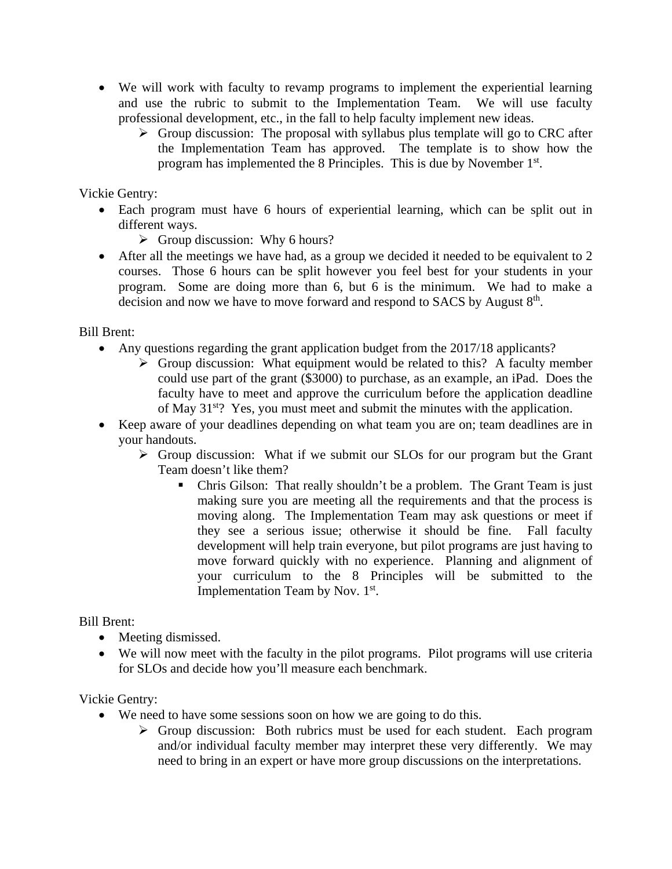- We will work with faculty to revamp programs to implement the experiential learning and use the rubric to submit to the Implementation Team. We will use faculty professional development, etc., in the fall to help faculty implement new ideas.
	- $\triangleright$  Group discussion: The proposal with syllabus plus template will go to CRC after the Implementation Team has approved. The template is to show how the program has implemented the 8 Principles. This is due by November 1st.

Vickie Gentry:

- Each program must have 6 hours of experiential learning, which can be split out in different ways.
	- $\triangleright$  Group discussion: Why 6 hours?
- After all the meetings we have had, as a group we decided it needed to be equivalent to 2 courses. Those 6 hours can be split however you feel best for your students in your program. Some are doing more than 6, but 6 is the minimum. We had to make a decision and now we have to move forward and respond to SACS by August 8<sup>th</sup>.

Bill Brent:

- Any questions regarding the grant application budget from the 2017/18 applicants?
	- $\triangleright$  Group discussion: What equipment would be related to this? A faculty member could use part of the grant (\$3000) to purchase, as an example, an iPad. Does the faculty have to meet and approve the curriculum before the application deadline of May 31<sup>st</sup>? Yes, you must meet and submit the minutes with the application.
- Keep aware of your deadlines depending on what team you are on; team deadlines are in your handouts.
	- $\triangleright$  Group discussion: What if we submit our SLOs for our program but the Grant Team doesn't like them?
		- Chris Gilson: That really shouldn't be a problem. The Grant Team is just making sure you are meeting all the requirements and that the process is moving along. The Implementation Team may ask questions or meet if they see a serious issue; otherwise it should be fine. Fall faculty development will help train everyone, but pilot programs are just having to move forward quickly with no experience. Planning and alignment of your curriculum to the 8 Principles will be submitted to the Implementation Team by Nov. 1st.

Bill Brent:

- Meeting dismissed.
- We will now meet with the faculty in the pilot programs. Pilot programs will use criteria for SLOs and decide how you'll measure each benchmark.

Vickie Gentry:

- We need to have some sessions soon on how we are going to do this.
	- $\triangleright$  Group discussion: Both rubrics must be used for each student. Each program and/or individual faculty member may interpret these very differently. We may need to bring in an expert or have more group discussions on the interpretations.